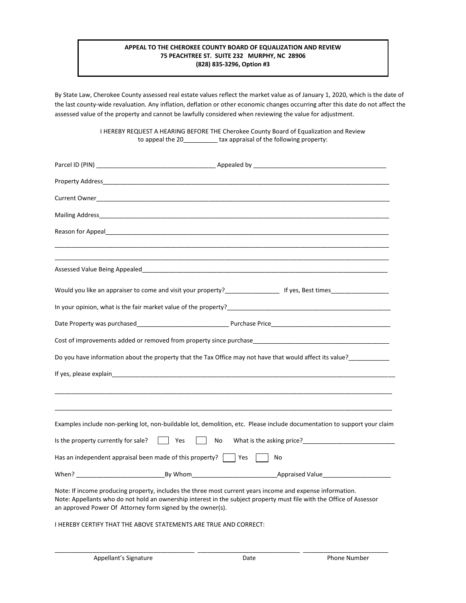## **APPEAL TO THE CHEROKEE COUNTY BOARD OF EQUALIZATION AND REVIEW 75 PEACHTREE ST. SUITE 232 MURPHY, NC 28906 (828) 835-3296, Option #3**

By State Law, Cherokee County assessed real estate values reflect the market value as of January 1, 2020, which is the date of the last county-wide revaluation. Any inflation, deflation or other economic changes occurring after this date do not affect the assessed value of the property and cannot be lawfully considered when reviewing the value for adjustment.

> I HEREBY REQUEST A HEARING BEFORE THE Cherokee County Board of Equalization and Review to appeal the 20\_\_\_\_\_\_\_\_\_\_ tax appraisal of the following property:

| Reason for Appeal and the contract of the contract of the contract of the contract of the contract of the contract of the contract of the contract of the contract of the contract of the contract of the contract of the cont                                                                  |  |  |  |
|-------------------------------------------------------------------------------------------------------------------------------------------------------------------------------------------------------------------------------------------------------------------------------------------------|--|--|--|
|                                                                                                                                                                                                                                                                                                 |  |  |  |
|                                                                                                                                                                                                                                                                                                 |  |  |  |
| Would you like an appraiser to come and visit your property?<br>Universely and the set times of the set times of the set times of the set times of the set times of the set o                                                                                                                   |  |  |  |
|                                                                                                                                                                                                                                                                                                 |  |  |  |
|                                                                                                                                                                                                                                                                                                 |  |  |  |
|                                                                                                                                                                                                                                                                                                 |  |  |  |
| Do you have information about the property that the Tax Office may not have that would affect its value?____________                                                                                                                                                                            |  |  |  |
|                                                                                                                                                                                                                                                                                                 |  |  |  |
|                                                                                                                                                                                                                                                                                                 |  |  |  |
|                                                                                                                                                                                                                                                                                                 |  |  |  |
| Examples include non-perking lot, non-buildable lot, demolition, etc. Please include documentation to support your claim                                                                                                                                                                        |  |  |  |
| Is the property currently for sale?<br>Yes No What is the asking price?                                                                                                                                                                                                                         |  |  |  |
| Has an independent appraisal been made of this property? $\Box$ Yes<br>No                                                                                                                                                                                                                       |  |  |  |
|                                                                                                                                                                                                                                                                                                 |  |  |  |
| Note: If income producing property, includes the three most current years income and expense information.<br>Note: Appellants who do not hold an ownership interest in the subject property must file with the Office of Assessor<br>an approved Power Of Attorney form signed by the owner(s). |  |  |  |

I HEREBY CERTIFY THAT THE ABOVE STATEMENTS ARE TRUE AND CORRECT:

\_\_\_\_\_\_\_\_\_\_\_\_\_\_\_\_\_\_\_\_\_\_\_\_\_\_\_\_\_\_\_\_\_\_\_\_\_\_\_\_\_ \_\_\_\_\_\_\_\_\_\_\_\_\_\_\_\_\_\_\_\_\_\_\_\_\_\_\_\_\_\_ \_\_\_\_\_\_\_\_\_\_\_\_\_\_\_\_\_\_\_\_\_\_\_\_\_